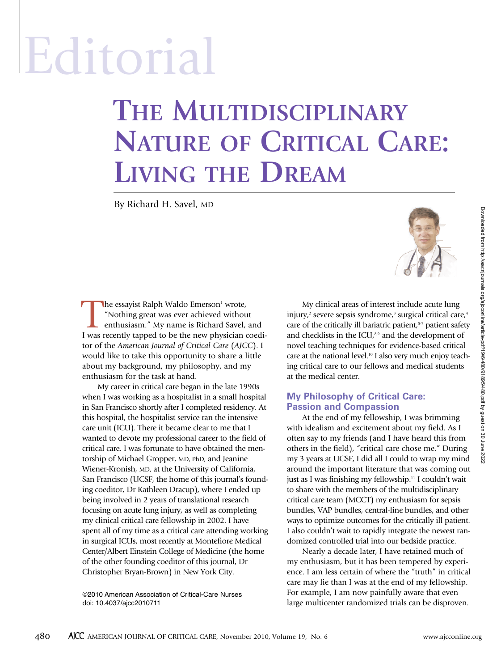# Editorial

## **THE MULTIDISCIPLINARY NATURE OF CRITICAL CARE: LIVING THE DREAM**

By Richard H. Savel, MD



The essayist Ralph Waldo Emerson<sup>1</sup> wrote,<br>
"Nothing great was ever achieved withour<br>
enthusiasm." My name is Richard Savel,<br>
I was recently tanned to be the new physician "Nothing great was ever achieved without enthusiasm." My name is Richard Savel, and I was recently tapped to be the new physician coeditor of the *American Journal of Critical Care* (*AJCC*). I would like to take this opportunity to share a little about my background, my philosophy, and my enthusiasm for the task at hand.

My career in critical care began in the late 1990s when I was working as a hospitalist in a small hospital in San Francisco shortly after I completed residency. At this hospital, the hospitalist service ran the intensive care unit (ICU). There it became clear to me that I wanted to devote my professional career to the field of critical care. I was fortunate to have obtained the mentorship of Michael Gropper, MD, PhD, and Jeanine Wiener-Kronish, MD, at the University of California, San Francisco (UCSF, the home of this journal's founding coeditor, Dr Kathleen Dracup), where I ended up being involved in 2 years of translational research focusing on acute lung injury, as well as completing my clinical critical care fellowship in 2002. I have spent all of my time as a critical care attending working in surgical ICUs, most recently at Montefiore Medical Center/Albert Einstein College of Medicine (the home of the other founding coeditor of this journal, Dr Christopher Bryan-Brown) in New York City. The exaction Happen Voldeo Enterior Works.<br>
The exaction Happen Voldeo Enterior Works and The exact of the exact of the exact of the exact of the exact of the exact of the exact of the exact of the exact of the exact of t

©2010 American Association of Critical-Care Nurses doi: 10.4037/ajcc2010711

My clinical areas of interest include acute lung injury, <sup>2</sup> severe sepsis syndrome, <sup>3</sup> surgical critical care, 4 care of the critically ill bariatric patient, 5-7 patient safety and checklists in the ICU,<sup>8,9</sup> and the development of novel teaching techniques for evidence-based critical care at the national level. <sup>10</sup> I also very much enjoy teaching critical care to our fellows and medical students at the medical center.

#### **My Philosophy of Critical Care: Passion and Compassion**

At the end of my fellowship, I was brimming with idealism and excitement about my field. As I often say to my friends (and I have heard this from others in the field), "critical care chose me." During my 3 years at UCSF, I did all I could to wrap my mind around the important literature that was coming out just as I was finishing my fellowship. <sup>11</sup> I couldn't wait to share with the members of the multidisciplinary critical care team (MCCT) my enthusiasm for sepsis bundles, VAP bundles, central-line bundles, and other ways to optimize outcomes for the critically ill patient. I also couldn't wait to rapidly integrate the newest randomized controlled trial into our bedside practice.

Nearly a decade later, I have retained much of my enthusiasm, but it has been tempered by experience. I am less certain of where the "truth" in critical care may lie than I was at the end of my fellowship. For example, I am now painfully aware that even large multicenter randomized trials can be disproven.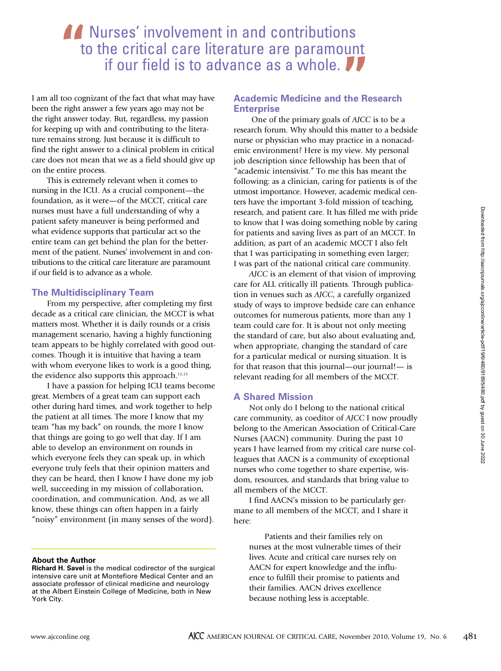I am all too cognizant of the fact that what may have been the right answer a few years ago may not be the right answer today. But, regardless, my passion for keeping up with and contributing to the literature remains strong. Just because it is difficult to find the right answer to a clinical problem in critical care does not mean that we as a field should give up on the entire process.

This is extremely relevant when it comes to nursing in the ICU. As a crucial component—the foundation, as it were—of the MCCT, critical care nurses must have a full understanding of why a patient safety maneuver is being performed and what evidence supports that particular act so the entire team can get behind the plan for the betterment of the patient. Nurses' involvement in and contributions to the critical care literature are paramount if our field is to advance as a whole.

#### **The Multidisciplinary Team**

From my perspective, after completing my first decade as a critical care clinician, the MCCT is what matters most. Whether it is daily rounds or a crisis management scenario, having a highly functioning team appears to be highly correlated with good outcomes. Though it is intuitive that having a team with whom everyone likes to work is a good thing, the evidence also supports this approach. 12,13

I have a passion for helping ICU teams become great. Members of a great team can support each other during hard times, and work together to help the patient at all times. The more I know that my team "has my back" on rounds, the more I know that things are going to go well that day. If I am able to develop an environment on rounds in which everyone feels they can speak up, in which everyone truly feels that their opinion matters and they can be heard, then I know I have done my job well, succeeding in my mission of collaboration, coordination, and communication. And, as we all know, these things can often happen in a fairly "noisy" environment (in many senses of the word).

#### **About the Author**

#### **Academic Medicine and the Research Enterprise**

One of the primary goals of *AJCC* is to be a research forum. Why should this matter to a bedside nurse or physician who may practice in a nonacademic environment? Here is my view. My personal job description since fellowship has been that of "academic intensivist." To me this has meant the following: as a clinician, caring for patients is of the utmost importance. However, academic medical centers have the important 3-fold mission of teaching, research, and patient care. It has filled me with pride to know that I was doing something noble by caring for patients and saving lives as part of an MCCT. In addition, as part of an academic MCCT I also felt that I was participating in something even larger; I was part of the national critical care community.

*AJCC* is an element of that vision of improving care for ALL critically ill patients. Through publication in venues such as *AJCC*, a carefully organized study of ways to improve bedside care can enhance outcomes for numerous patients, more than any 1 team could care for. It is about not only meeting the standard of care, but also about evaluating and, when appropriate, changing the standard of care for a particular medical or nursing situation. It is for that reason that this journal—our journal!— is relevant reading for all members of the MCCT.

#### **A Shared Mission**

Not only do I belong to the national critical care community, as coeditor of *AJCC* I now proudly belong to the American Association of Critical-Care Nurses (AACN) community. During the past 10 years I have learned from my critical care nurse colleagues that AACN is a community of exceptional nurses who come together to share expertise, wisdom, resources, and standards that bring value to all members of the MCCT.

I find AACN's mission to be particularly germane to all members of the MCCT, and I share it here:

Patients and their families rely on nurses at the most vulnerable times of their lives. Acute and critical care nurses rely on AACN for expert knowledge and the influence to fulfill their promise to patients and their families. AACN drives excellence because nothing less is acceptable.

**Richard H. Savel** is the medical codirector of the surgical intensive care unit at Montefiore Medical Center and an associate professor of clinical medicine and neurology at the Albert Einstein College of Medicine, both in New York City.